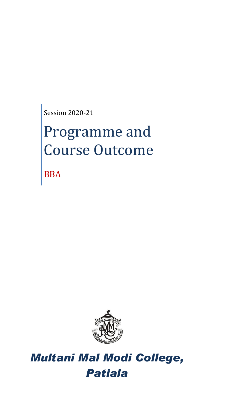Session 2020-21

# Programme and Course Outcome

BBA



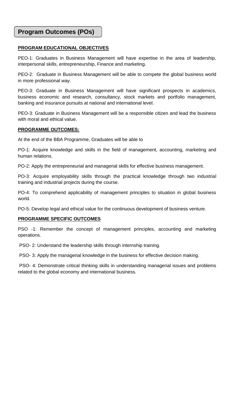### **Program Outcomes (POs)**

### **PROGRAM EDUCATIONAL OBJECTIVES**

PEO-1: Graduates in Business Management will have expertise in the area of leadership, interpersonal skills, entrepreneurship, Finance and marketing.

PEO-2: Graduate in Business Management will be able to compete the global business world in more professional way.

PEO-3: Graduate in Business Management will have significant prospects in academics, business economic and research, consultancy, stock markets and portfolio management, banking and insurance pursuits at national and international level.

PEO-3: Graduate in Business Management will be a responsible citizen and lead the business with moral and ethical value.

#### **PROGRAMME OUTCOMES:**

At the end of the BBA Programme, Graduates will be able to

PO-1: Acquire knowledge and skills in the field of management, accounting, marketing and human relations.

PO-2: Apply the entrepreneurial and managerial skills for effective business management.

PO-3: Acquire employability skills through the practical knowledge through two industrial training and industrial projects during the course.

PO-4: To comprehend applicability of management principles to situation in global business world.

PO-5: Develop legal and ethical value for the continuous development of business venture.

### **PROGRAMME SPECIFIC OUTCOMES**

PSO -1: Remember the concept of management principles, accounting and marketing operations.

PSO- 2: Understand the leadership skills through internship training.

PSO- 3: Apply the managerial knowledge in the business for effective decision making.

PSO- 4: Demonstrate critical thinking skills in understanding managerial issues and problems related to the global economy and international business.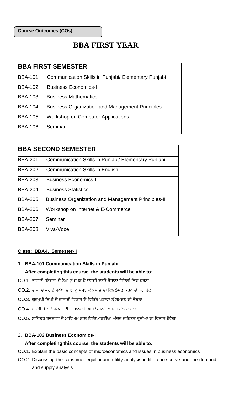**Course Outcomes (COs)**

# **BBA FIRST YEAR**

| <b>BBA FIRST SEMESTER</b> |                                                          |  |  |
|---------------------------|----------------------------------------------------------|--|--|
| <b>BBA-101</b>            | Communication Skills in Punjabi/ Elementary Punjabi      |  |  |
| <b>BBA-102</b>            | <b>Business Economics-I</b>                              |  |  |
| <b>BBA-103</b>            | <b>Business Mathematics</b>                              |  |  |
| <b>BBA-104</b>            | <b>Business Organization and Management Principles-I</b> |  |  |
| <b>BBA-105</b>            | Workshop on Computer Applications                        |  |  |
| <b>BBA-106</b>            | Seminar                                                  |  |  |

| <b>BBA SECOND SEMESTER</b> |                                                            |  |
|----------------------------|------------------------------------------------------------|--|
| <b>BBA-201</b>             | <b>Communication Skills in Punjabi/ Elementary Punjabi</b> |  |
| <b>BBA-202</b>             | <b>Communication Skills in English</b>                     |  |
| <b>BBA-203</b>             | <b>Business Economics-II</b>                               |  |
| <b>BBA-204</b>             | <b>Business Statistics</b>                                 |  |
| <b>BBA-205</b>             | <b>Business Organization and Management Principles-II</b>  |  |
| <b>BBA-206</b>             | Workshop on Internet & E-Commerce                          |  |
| <b>BBA-207</b>             | Seminar                                                    |  |
| <b>BBA-208</b>             | Viva-Voce                                                  |  |

### **Class: BBA-I, Semester- I**

### **1. BBA-101 Communication Skills in Punjabi**

### **After completing this course, the students will be able to***:*

- CO.1. ਭਾਸ਼ਾਈ ਸੰਰਚਨਾ ਦੇ ਨੇਮਾਂ ਨੂੰ ਸਮਝ ਕੇ ਉਸਦੀ ਵਰਤੋਂ ਰੋਜ਼ਾਨਾ ਜ਼ਿੰਦਗੀ ਵਿੱਚ ਕਰਨਾ
- CO.2. ਭਾਸ਼ਾ ਦੇ ਜਰੀਏ ਮਨੁੱਖੀ ਭਾਵਾਂ ਨੂੰ ਸਮਝ ਕੇ ਸਮਾਜ ਦਾ ਵਿਸ਼ਲੇਸ਼ਣ ਕਰਨ ਦੇ ਯੋਗ ਹੋਣਾ
- CO.3. ਗੁਰਮੁਖੀ ਲਿਪੀ ਦੇ ਭਾਸ਼ਾਈ ਵਿਕਾਸ ਦੇ ਵਿਭਿੰਨ ਪੜਾਵਾਂ ਨੂੰ ਸਮਝਣ ਦੀ ਚੇਤਨਾ
- CO.4. ਮਨੱਖੀ ਹੋਂਦ ਦੇ ਸੰਕਟਾਂ ਦੀ ਨਿਸ਼ਾਨਦੇਹੀ ਅਤੇ ਉਹਨਾਂ ਦਾ ਯੋਗ ਹੱਲ ਲੱਭਣਾ
- CO.5. ਸਾਹਿਤਕ ਰਚਨਾਵਾਂ ਦੇ ਮਾਧਿਅਮ ਨਾਲ ਵਿਦਿਆਰਥੀਆਂ ਅੰਦਰ ਸਾਹਿਤਕ ਰੁਚੀਆਂ ਦਾ ਵਿਕਾਸ ਹੋਵੇਗਾ

### 2. **BBA-102 Business Economics-I**

- CO.1. Explain the basic concepts of microeconomics and issues in business economics
- CO.2. Discussing the consumer equilibrium, utility analysis indifference curve and the demand and supply analysis.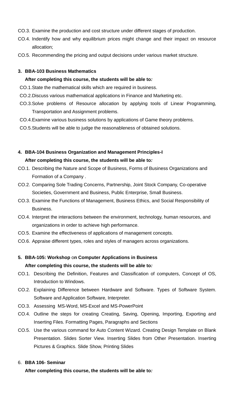- CO.3. Examine the production and cost structure under different stages of production.
- CO.4. Indentify how and why equilibrium prices might change and their impact on resource allocation;
- CO.5. Recommending the pricing and output decisions under various market structure.

### **3. BBA-103 Business Mathematics**

### **After completing this course, the students will be able to***:*

CO.1.State the mathematical skills which are required in business.

- CO.2.Discuss various mathematical applications in Finance and Marketing etc.
- CO.3.Solve problems of Resource allocation by applying tools of Linear Programming, Transportation and Assignment problems.
- CO.4.Examine various business solutions by applications of Game theory problems.
- CO.5.Students will be able to judge the reasonableness of obtained solutions.

# **4. BBA-104 Business Organization and Management Principles-I**

- **After completing this course, the students will be able to***:*
- CO.1. Describing the Nature and Scope of Business, Forms of Business Organizations and Formation of a Company .
- CO.2. Comparing Sole Trading Concerns, Partnership, Joint Stock Company, Co-operative Societies, Government and Business, Public Enterprise, Small Business.
- CO.3. Examine the Functions of Management, Business Ethics, and Social Responsibility of Business.
- CO.4. Interpret the interactions between the environment, technology, human resources, and organizations in order to achieve high performance.
- CO.5. Examine the effectiveness of applications of management concepts.
- CO.6. Appraise different types, roles and styles of managers across organizations.

### **5. BBA-105: Workshop** o**n Computer Applications in Business After completing this course, the students will be able to***:*

- CO.1. Describing the Definition, Features and Classification of computers, Concept of OS, Introduction to Windows.
- CO.2. Explaining Difference between Hardware and Software. Types of Software System. Software and Application Software, Interpreter.
- CO.3. Assessing MS-Word, MS-Excel and MS-PowerPoint
- CO.4. Outline the steps for creating Creating, Saving, Opening, Importing, Exporting and Inserting Files. Formatting Pages, Paragraphs and Sections
- CO.5. Use the various command for Auto Content Wizard. Creating Design Template on Blank Presentation. Slides Sorter View. Inserting Slides from Other Presentation. Inserting Pictures & Graphics. Slide Show, Printing Slides

### 6. **BBA 106- Seminar**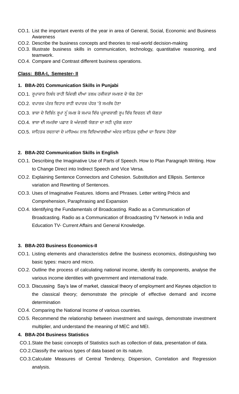- CO.1. List the important events of the year in area of General, Social, Economic and Business Awareness
- CO.2. Describe the business concepts and theories to real-world decision-making
- CO.3. Illustrate business skills in communication, technology, quantitative reasoning, and teamwork.
- CO.4. Compare and Contrast different business operations.

### **Class: BBA-I, Semester- II**

### **1. BBA-201 Communication Skills in Punjabi**

- CO.1. ਰੁਪਾਕਾਰ ਨਿਬੰਧ ਰਾਹੀਂ ਜ਼ਿੰਦਗੀ ਦੀਆਂ ਤਲਖ਼ ਹਕੀਕਤਾਂ ਸਮਝਣ ਦੇ ਯੋਗ ਹੋਣਾ
- CO.2. ਵਪਾਰਕ ਪੱਤਰ ਵਿਹਾਰ ਰਾਹੀਂ ਵਪਾਰਕ ਪੱਧਰ 'ਤੇ ਸਮਰੱਥ ਹੋਣਾ
- CO.3. ਭਾਸ਼ਾ ਦੇ ਵਿਭਿੰਨ ਰਪਾਂ ਨੂੰ ਸਮਝ ਕੇ ਸਮਾਜ ਵਿੱਚ ਪ੍ਰਭਾਵਸ਼ਾਲੀ ਰਪ ਵਿੱਚ ਵਿਚਰਨ ਦੀ ਯੋਗਤਾ
- CO.4. ਭਾਸ਼ਾ ਦੀ ਸਮਰੱਥਾ ਪਛਾਣ ਕੇ ਅੰਦਰਲੀ ਯੋਗਤਾ ਦਾ ਸਹੀ ਪ੍ਰਯੋਗ ਕਰਨਾ
- CO.5. ਸਾਹਿਤਕ ਰਚਨਾਵਾਂ ਦੇ ਮਾਧਿਅਮ ਨਾਲ ਵਿਦਿਆਰਥੀਆਂ ਅੰਦਰ ਸਾਹਿਤਕ ਰੁਚੀਆਂ ਦਾ ਵਿਕਾਸ ਹੋਵੇਗਾ

### **2. BBA-202 Communication Skills in English**

- CO.1. Describing the Imaginative Use of Parts of Speech. How to Plan Paragraph Writing. How to Change Direct into Indirect Speech and Vice Versa.
- CO.2. Explaining Sentence Connectors and Cohesion. Substitution and Ellipsis. Sentence variation and Rewriting of Sentences.
- CO.3. Uses of Imaginative Features. Idioms and Phrases. Letter writing Précis and Comprehension, Paraphrasing and Expansion
- CO.4. Identifying the Fundamentals of Broadcasting. Radio as a Communication of Broadcasting. Radio as a Communication of Broadcasting TV Network in India and Education TV- Current Affairs and General Knowledge.

### **3. BBA-203 Business Economics-II**

- CO.1. Listing elements and characteristics define the business economics, distinguishing two basic types: macro and micro.
- CO.2. Outline the process of calculating national income, identify its components, analyse the various income identities with government and international trade.
- CO.3. Discussing Say's law of market, classical theory of employment and Keynes objection to the classical theory; demonstrate the principle of effective demand and income determination
- CO.4. Comparing the National Income of various countries.
- CO.5. Recommend the relationship between investment and savings, demonstrate investment multiplier, and understand the meaning of MEC and MEI.

### **4. BBA-204 Business Statistics**

CO.1.State the basic concepts of Statistics such as collection of data, presentation of data.

- CO.2.Classify the various types of data based on its nature.
- CO.3.Calculate Measures of Central Tendency, Dispersion, Correlation and Regression analysis.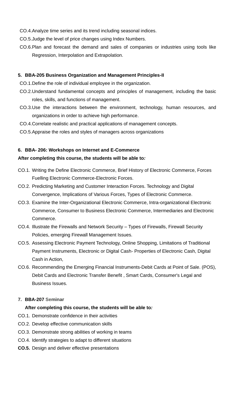- CO.4.Analyze time series and its trend including seasonal indices.
- CO.5.Judge the level of price changes using Index Numbers.
- CO.6.Plan and forecast the demand and sales of companies or industries using tools like Regression, Interpolation and Extrapolation.

### **5. BBA-205 Business Organization and Management Principles-II**

CO.1.Define the role of individual employee in the organization.

- CO.2.Understand fundamental concepts and principles of management, including the basic roles, skills, and functions of management.
- CO.3.Use the interactions between the environment, technology, human resources, and organizations in order to achieve high performance.
- CO.4.Correlate realistic and practical applications of management concepts.
- CO.5.Appraise the roles and styles of managers across organizations

### **6. BBA- 206: Workshops on Internet and E-Commerce**

### **After completing this course, the students will be able to***:*

- CO.1. Writing the Define Electronic Commerce, Brief History of Electronic Commerce, Forces Fuelling Electronic Commerce-Electronic Forces.
- CO.2. Predicting Marketing and Customer Interaction Forces. Technology and Digital Convergence, Implications of Various Forces, Types of Electronic Commerce.
- CO.3. Examine the Inter-Organizational Electronic Commerce, Intra-organizational Electronic Commerce, Consumer to Business Electronic Commerce, Intermediaries and Electronic Commerce.
- CO.4. Illustrate the Firewalls and Network Security Types of Firewalls, Firewall Security Policies, emerging Firewall Management Issues.
- CO.5. Assessing Electronic Payment Technology, Online Shopping, Limitations of Traditional Payment Instruments, Electronic or Digital Cash- Properties of Electronic Cash, Digital Cash in Action,
- CO.6. Recommending the Emerging Financial Instruments-Debit Cards at Point of Sale. (POS), Debit Cards and Electronic Transfer Benefit , Smart Cards, Consumer's Legal and Business Issues.

### **7. BBA-207 Seminar**

- CO.1. Demonstrate confidence in their activities
- CO.2. Develop effective communication skills
- CO.3. Demonstrate strong abilities of working in teams
- CO.4. Identify strategies to adapt to different situations
- **CO.5.** Design and deliver effective presentations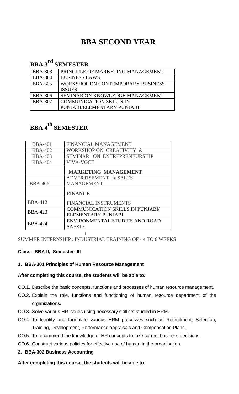# **BBA SECOND YEAR**

# **BBA 3rd SEMESTER**

| <b>BBA-303</b> | PRINCIPLE OF MARKETING MANAGEMENT |
|----------------|-----------------------------------|
| <b>BBA-304</b> | <b>BUSINESS LAWS</b>              |
| <b>BBA-305</b> | WORKSHOP ON CONTEMPORARY BUSINESS |
|                | <b>ISSUES</b>                     |
| <b>BBA-306</b> | SEMINAR ON KNOWLEDGE MANAGEMENT   |
| <b>BBA-307</b> | <b>COMMUNICATION SKILLS IN</b>    |
|                | PUNJABI/ELEMENTARY PUNJABI        |

# **BBA 4th SEMESTER**

| <b>BBA-401</b> | FINANCIAL MANAGEMENT                    |
|----------------|-----------------------------------------|
| <b>BBA-402</b> | WORKSHOP ON CREATIVITY &                |
| <b>BBA-403</b> | SEMINAR ON ENTREPRENEURSHIP             |
| <b>BBA-404</b> | <b>VIVA-VOCE</b>                        |
|                | <b>MARKETING MANAGEMENT</b>             |
|                | ADVERTISEMENT & SALES                   |
| <b>BBA-406</b> | <b>MANAGEMENT</b>                       |
|                | <b>FINANCE</b>                          |
| <b>BBA-412</b> | FINANCIAL INSTRUMENTS                   |
| <b>BBA-423</b> | <b>COMMUNICATION SKILLS IN PUNJABI/</b> |
|                | ELEMENTARY PUNJABI                      |
| <b>BBA-424</b> | ENVIRONMENTAL STUDIES AND ROAD          |
|                | <b>SAFETY</b>                           |
|                |                                         |
|                |                                         |

### SUMMER INTERNSHIP : INDUSTRIAL TRAINING OF · 4 TO 6 WEEKS

### **Class: BBA-II, Semester- III**

### **1. BBA-301 Principles of Human Resource Management**

### **After completing this course, the students will be able to***:*

- CO.1. Describe the basic concepts, functions and processes of human resource management.
- CO.2. Explain the role, functions and functioning of human resource department of the organizations.
- CO.3. Solve various HR issues using necessary skill set studied in HRM.
- CO.4. To Identify and formulate various HRM processes such as Recruitment, Selection, Training, Development, Performance appraisals and Compensation Plans.
- CO.5. To recommend the knowledge of HR concepts to take correct business decisions.
- CO.6. Construct various policies for effective use of human in the organisation.
- **2. BBA-302 Business Accounting**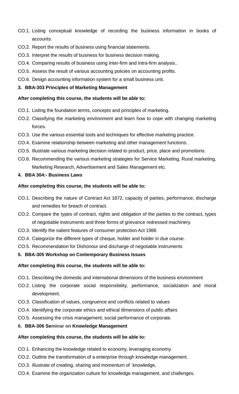- CO.1. Listing conceptual knowledge of recording the business information in books of accounts.
- CO.2. Report the results of business using financial statements.
- CO.3. Interpret the results of business for business decision making.
- CO.4. Comparing results of business using Inter-firm and Intra-firm analysis..
- CO.5. Assess the result of various accounting policies on accounting profits.
- CO.6. Design accounting information system for a small business unit.

### **3. BBA-303 Principles of Marketing Management**

### **After completing this course, the students will be able to***:*

- CO.1. Listing the foundation terms, concepts and principles of marketing.
- CO.2. Classifying the marketing environment and learn how to cope with changing marketing forces.
- CO.3. Use the various essential tools and techniques for effective marketing practice.
- CO.4. Examine relationship between marketing and other management functions.
- CO.5. Illustrate various marketing decision related to product, price, place and promotions.
- CO.6. Recommending the various marketing strategies for Service Marketing, Rural marketing, Marketing Research, Advertisement and Sales Management etc.

### **4. BBA 304:- Business Laws**

### **After completing this course, the students will be able to***:*

- CO.1. Describing the nature of Contract Act 1872, capacity of parties, performance, discharge and remedies for breach of contract.
- CO.2. Compare the types of contract, rights and obligation of the parties to the contract, types of negotiable instruments and three forms of grievance redressed machinery.
- CO.3. Identify the salient features of consumer protection Act 1986
- CO.4. Categorize the different types of cheque, holder and holder in due course.
- CO.5. Recommendation for Dishonour and discharge of negotiable instruments
- **5. BBA-305 Workshop on Contemporary Business Issues**

### **After completing this course, the students will be able to***:*

- CO.1. Describing the domestic and international dimensions of the business environment
- CO.2. Listing the corporate social responsibility, performance, socialization and moral development.
- CO.3. Classification of values, congruence and conflicts related to values
- CO.4. Identifying the corporate ethics and ethical dimensions of public affairs
- CO.5. Assessing the crisis management, social performance of corporate.

### **6. BBA-306 Seminar on Knowledge Management**

- CO.1. Enhancing the knowledge related to economy, leveraging economy.
- CO.2. Outline the transformation of a enterprise through knowledge management.
- CO.3. Illustrate of creating, sharing and momentum of knowledge,
- CO.4. Examine the organization culture for knowledge management, and challenges.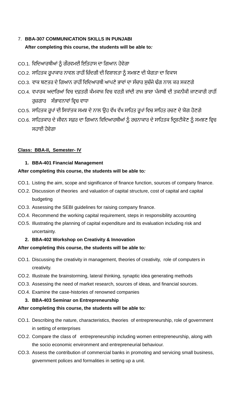### 7. **BBA-307 COMMUNICATION SKILLS IN PUNJABI After completing this course, the students will be able to***:*

- CO.1. ਵਿਦਿਆਰਥੀਆਂ ਨੂੰ ਗੌਰਵਮਈ ਇਤਿਹਾਸ ਦਾ ਗਿਆਨ ਹੋਵੇਗਾ
- CO.2. ਸਾਹਿਤਕ ਰੂਪਾਕਾਰ ਨਾਵਲ ਰਾਹੀਂ ਜ਼ਿੰਦਗੀ ਦੀ ਵਿਸ਼ਾਲਤਾ ਨੂੰ ਸਮਝਣ ਦੀ ਯੋਗਤਾ ਦਾ ਵਿਕਾਸ
- CO.3. ਵਾਕ ਬਣਤਰ ਦੇ ਗਿਆਨ ਰਾਹੀਂ ਵਿਦਿਆਰਥੀ ਆਪਣੇ ਭਾਵਾਂ ਦਾ ਸੰਚਾਰ ਸਚੱਜੇ ਢੰਗ ਨਾਲ ਕਰ ਸਕਣਗੇ
- CO.4. ਵਪਾਰਕ ਅਦਾਰਿਆਂ ਵਿਚ ਦਫ਼ਤਰੀ ਕੰਮਕਾਜ ਵਿਚ ਵਰਤੀ ਜਾਂਦੀ ਰਾਜ ਭਾਸ਼ਾ ਪੰਜਾਬੀ ਦੀ ਤਕਨੀਕੀ ਜਾਣਕਾਰੀ ਰਾਹੀਂ ਰਜ਼ਗਾਰ ਸੰਭਾਵਨਾਵਾਂ ਵਿਚ ਵਾਧਾ
- CO.5. ਸਾਹਿਤਕ ਰੂਪਾਂ ਦੀ ਸਿਧਾਂਤਕ ਸਮਝ ਦੇ ਨਾਲ ਉਹ ਵੱਖ ਵੱਖ ਸਾਹਿਤ ਰੂਪਾਂ ਵਿਚ ਸਾਹਿਤ ਰਚਣ ਦੇ ਯੋਗ ਹੋਣਗੇ
- CO.6. ਸਾਹਿਤਕਾਰ ਦੇ ਜੀਵਨ ਸਫ਼ਰ ਦਾ ਗਿਆਨ ਵਿਦਿਆਰਥੀਆਂ ਨੂੰ ਰਚਨਾਕਾਰ ਦੇ ਸਾਹਿਤਕ ਦ੍ਰਿਸ਼ਟੀਕੋਣ ਨੂੰ ਸਮਝਣ ਵਿਚ ਸਹਾਈ ਹੋਿੇਗਾ

### **Class: BBA-II, Semester- IV**

### **1. BBA-401 Financial Management**

### **After completing this course, the students will be able to***:*

- CO.1. Listing the aim, scope and significance of finance function, sources of company finance.
- CO.2. Discussion of theories and valuation of capital structure, cost of capital and capital budgeting
- CO.3. Assessing the SEBI guidelines for raising company finance.
- CO.4. Recommend the working capital requirement, steps in responsibility accounting
- CO.5. Illustrating the planning of capital expenditure and its evaluation including risk and uncertainty.

### **2. BBA-402 Workshop on Creativity & Innovation**

### **After completing this course, the students will be able to***:*

- CO.1. Discussing the creativity in management, theories of creativity, role of computers in creativity.
- CO.2. Illustrate the brainstorming, lateral thinking, synaptic idea generating methods
- CO.3. Assessing the need of market research, sources of ideas, and financial sources.
- CO.4. Examine the case-histories of renowned companies

### **3. BBA-403 Seminar on Entrepreneurship**

- CO.1. Describing the nature, characteristics, theories of entrepreneurship, role of government in setting of enterprises
- CO.2. Compare the class of entrepreneurship including women entrepreneurship, along with the socio economic environment and entrepreneurial behaviour.
- CO.3. Assess the contribution of commercial banks in promoting and servicing small business, government polices and formalities in setting up a unit.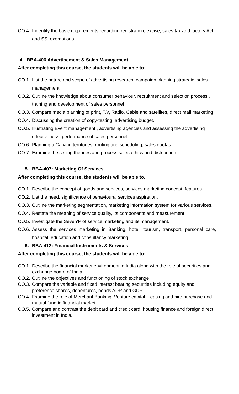CO.4. Indentify the basic requirements regarding registration, excise, sales tax and factory Act and SSI exemptions.

### **4. BBA-406 Advertisement & Sales Management**

### **After completing this course, the students will be able to***:*

- CO.1. List the nature and scope of advertising research, campaign planning strategic, sales management
- CO.2. Outline the knowledge about consumer behaviour, recruitment and selection process , training and development of sales personnel
- CO.3. Compare media planning of print, T.V, Radio, Cable and satellites, direct mail marketing
- CO.4. Discussing the creation of copy-testing, advertising budget.
- CO.5. Illustrating Event management , advertising agencies and assessing the advertising effectiveness, performance of sales personnel
- CO.6. Planning a Carving territories, routing and scheduling, sales quotas
- CO.7. Examine the selling theories and process sales ethics and distribution.

### **5. BBA-407: Marketing Of Services**

### **After completing this course, the students will be able to***:*

- CO.1. Describe the concept of goods and services, services marketing concept, features.
- CO.2. List the need, significance of behavioural services aspiration.
- CO.3. Outline the marketing segmentation, marketing information system for various services.
- CO.4. Restate the meaning of service quality, its components and measurement
- CO.5. Investigate the Seven'P of service marketing and its management.
- CO.6. Assess the services marketing in Banking, hotel, tourism, transport, personal care, hospital, education and consultancy marketing

### **6. BBA-412: Financial Instruments & Services**

- CO.1. Describe the financial market environment in India along with the role of securities and exchange board of India
- CO.2. Outline the objectives and functioning of stock exchange
- CO.3. Compare the variable and fixed interest bearing securities including equity and preference shares, debentures, bonds ADR and GDR.
- CO.4. Examine the role of Merchant Banking, Venture capital, Leasing and hire purchase and mutual fund in financial market.
- CO.5. Compare and contrast the debit card and credit card, housing finance and foreign direct investment in India.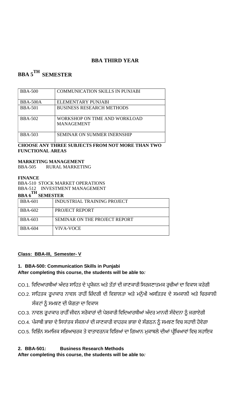### **BBA THIRD YEAR**

## **BBA 5TH SEMESTER**

| <b>BBA-500</b>  | <b>COMMUNICATION SKILLS IN PUNJABI</b> |
|-----------------|----------------------------------------|
|                 |                                        |
| <b>BBA-500A</b> | ELEMENTARY PUNJABI                     |
| <b>BBA-501</b>  | <b>BUSINESS RESEARCH METHODS</b>       |
|                 |                                        |
|                 |                                        |
| <b>BBA-502</b>  | WORKSHOP ON TIME AND WORKLOAD          |
|                 |                                        |
|                 | <b>MANAGEMENT</b>                      |
|                 |                                        |
|                 |                                        |
| <b>BBA-503</b>  | <b>SEMINAR ON SUMMER INERNSHIP</b>     |
|                 |                                        |

### **CHOOSE ANY THREE SUBJECTS FROM NOT MORE THAN TWO FUNCTIONAL AREAS**

#### **MARKETING MANAGEMENT**

BBA-505 RURAL MARKETING

#### **FINANCE**

BBA-510 STOCK MARKET OPERATIONS BBA-512 INVESTMENT MANAGEMENT

### **BBA 6TH SEMESTER**

| <b>BBA-601</b> | <b>INDUSTRIAL TRAINING PROJECT</b> |
|----------------|------------------------------------|
| BBA-602        | PROJECT REPORT                     |
| <b>BBA-603</b> | SEMINAR ON THE PROJECT REPORT      |
| <b>BBA-604</b> | VIVA-VOCE                          |

### **Class: BBA-III, Semester- V**

### **1. BBA-500: Communication Skills in Punjabi After completing this course, the students will be able to***:*

- CO.1. ਵਿਦਿਆਰਥੀਆਂ ਅੰਦਰ ਸਾਹਿਤ ਦੇ ਪ੍ਰਯੋਜਨ ਅਤੇ ਤੱਤਾਂ ਦੀ ਜਾਣਕਾਰੀ ਸਿਰਜਣਾਤਮਕ ਰੁਚੀਆਂ ਦਾ ਵਿਕਾਸ ਕਰੇਗੀ
- CO.2. ਸਾਹਿਤਕ ਰੂਪਾਕਾਰ ਨਾਵਲ ਰਾਹੀਂ ਜ਼ਿੰਦਗੀ ਦੀ ਵਿਸ਼ਾਲਤਾ ਅਤੇ ਮਨੁੱਖੀ ਅਸਤਿਤਵ ਦੇ ਸਮਕਾਲੀ ਅਤੇ ਚਿਰਕਾਲੀ ਸੰਕਟਾਂ ਨੂੰ ਸਮਝਣ ਦੀ ਯੋਗਤਾ ਦਾ ਵਿਕਾਸ
- CO.3. ਨਾਵਲ ਰੂਪਾਕਾਰ ਰਾਹੀੰ ਜੀਵਨ ਸਰੋਕਾਰਾਂ ਦੀ ਪੇਸ਼ਕਾਰੀ ਵਿਦਿਆਰਥੀਆਂ ਅੰਦਰ ਮਾਨਵੀ ਸੰਵੇਦਨਾ ਨੂੰ ਜਗਾਏਗੀ
- CO.4. ਪੰਜਾਬੀ ਭਾਸ਼ਾ ਦੇ ਸਿਧਾਂਤਕ ਸੰਕਲਪਾਂ ਦੀ ਜਾਣਕਾਰੀ ਵਾਹਰਕ ਭਾਸ਼ਾ ਦੇ ਸੰਗਠਨ ਨੂੰ ਸਮਝਣ ਵਿਚ ਸਹਾਈ ਹੋਵੇਗਾ
- CO.5. ਵਿਭਿੰਨ ਸਮਾਜਿਕ ਸਭਿਆਚਰਕ ਤੇ ਵਾਤਾਵਰਨਕ ਵਿਸ਼ਿਆਂ ਦਾ ਗਿਆਨ ਮੁਕਾਬਲੇ ਦੀਆਂ ਪ੍ਰੀਖਿਆਵਾਂ ਵਿਚ ਸਹਾਇਕ

### **2. BBA-501: Business Research Methods After completing this course, the students will be able to***:*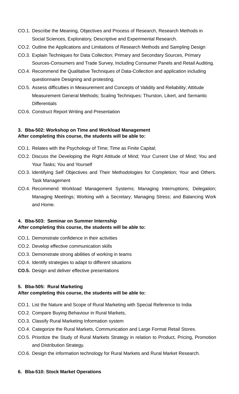- CO.1. Describe the Meaning, Objectives and Process of Research, Research Methods in Social Sciences, Exploratory, Descriptive and Experimental Research.
- CO.2. Outline the Applications and Limitations of Research Methods and Sampling Design
- CO.3. Explain Techniques for Data Collection; Primary and Secondary Sources, Primary Sources-Consumers and Trade Survey, Including Consumer Panels and Retail Auditing.
- CO.4. Recommend the Qualitative Techniques of Data-Collection and application including questionnaire Designing and protesting.
- CO.5. Assess difficulties in Measurement and Concepts of Validity and Reliability; Attitude Measurement General Methods; Scaling Techniques: Thurston, Likert, and Semantic **Differentials**
- CO.6. Construct Report Writing and Presentation

### **3. Bba-502: Workshop on Time and Workload Management After completing this course, the students will be able to***:*

- CO.1. Relates with the Psychology of Time; Time as Finite Capital;
- CO.2. Discuss the Developing the Right Attitude of Mind; Your Current Use of Mind; You and Your Tasks; You and Yourself
- CO.3. Identifying Self Objectives and Their Methodologies for Completion; Your and Others. Task Management
- CO.4. Recommend Workload Management Systems; Managing Interruptions; Delegation; Managing Meetings; Working with a Secretary; Managing Stress; and Balancing Work and Home.

### **4. Bba-503: Seminar on Summer Internship After completing this course, the students will be able to:**

- CO.1. Demonstrate confidence in their activities
- CO.2. Develop effective communication skills
- CO.3. Demonstrate strong abilities of working in teams
- CO.4. Identify strategies to adapt to different situations
- **CO.5.** Design and deliver effective presentations

### **5. Bba-505: Rural Marketing**

### **After completing this course, the students will be able to***:*

- CO.1. List the Nature and Scope of Rural Marketing with Special Reference to India
- CO.2. Compare Buying Behaviour in Rural Markets,
- CO.3. Classify Rural Marketing Information system
- CO.4. Categorize the Rural Markets, Communication and Large Format Retail Stores.
- CO.5. Prioritize the Study of Rural Markets Strategy in relation to Product, Pricing, Promotion and Distribution Strategy.
- CO.6. Design the information technology for Rural Markets and Rural Market Research.

### **6. Bba-510: Stock Market Operations**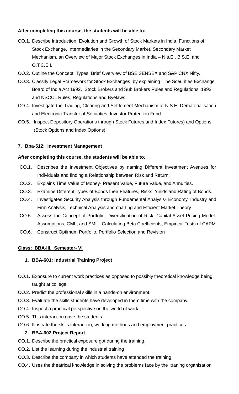### **After completing this course, the students will be able to***:*

- CO.1. Describe Introduction, Evolution and Growth of Stock Markets in India. Functions of Stock Exchange, Intermediaries in the Secondary Market, Secondary Market Mechanism. an Overview of Major Stock Exchanges in India – N.s.E., B.S.E. and O.T.C.E.I.
- CO.2. Outline the Concept, Types, Brief Overview of BSE SENSEX and S&P CNX Nifty.
- CO.3. Classify Legal Framework for Stock Exchanges by explaining The Sceurities Exchange Board of India Act 1992, Stock Brokers and Sub Brokers Rules and Regulations, 1992, and NSCCL Rules, Regulations and Byelaws
- CO.4. Investigate the Trading, Clearing and Settlement Mechanism at N.S.E, Dematerialisation and Electronic Transfer of Securities, Investor Protection Fund
- CO.5. Inspect Depository Operations through Stock Futures and Index Futures) and Options (Stock Options and Index Options).

### **7. Bba-512: Investment Management**

### **After completing this course, the students will be able to***:*

- CO.1. Describes the Investment Objectives by naming Different Investment Avenues for Individuals and finding a Relationship between Risk and Return.
- CO.2. Explains Time Value of Money- Present Value, Future Value, and Annuities.
- CO.3. Examine Different Types of Bonds their Features, Risks, Yields and Rating of Bonds.
- CO.4. Investigates Security Analysis through Fundamental Analysis- Economy, Industry and Firm Analysis, Technical Analysis and charting and Efficient Market Theory
- CO.5. Assess the Concept of Portfolio, Diversification of Risk, Capital Asset Pricing Model-Assumptions, CML, and SML., Calculating Beta Coefficients, Empirical Tests of CAPM
- CO.6. Construct Optimum Portfolio, Portfolio Selection and Revision

### **Class: BBA-III, Semester- VI**

### **1. BBA-601: Industrial Training Project**

- CO.1. Exposure to current work practices as opposed to possibly theoretical knowledge being taught at college.
- CO.2. Predict the professional skills in a hands-on environment.
- CO.3. Evaluate the skills students have developed in them time with the company.
- CO.4. Inspect a practical perspective on the world of work.
- CO.5. This interaction gave the students
- CO.6. Illustrate the skills interaction, working methods and employment practices

### **2. BBA-602 Project Report**

- CO.1. Describe the practical exposure got during the training.
- CO.2. List the learning during the industrial training
- CO.3. Describe the company in which students have attended the training
- CO.4. Uses the theatrical knowledge in solving the problems face by the traning organisation